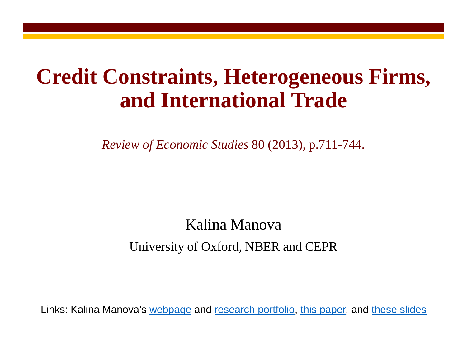### **Credit Constraints, Heterogeneous Firms, and International Trade**

*Review of Economic Studies* 80 (2013), p.711-744.

### Kalina Manova University of Oxford, NBER and CEPR

Links: Kalina Manova's [webpage](http://users.ox.ac.uk/%7Eecon0451/index.html) and [research portfolio,](http://users.ox.ac.uk/%7Eecon0451/pubs.html) [this paper,](http://users.ox.ac.uk/%7Eecon0451/JMP.pdf) and [these slides](http://users.ox.ac.uk/%7Eecon0451/JMPslides.pdf)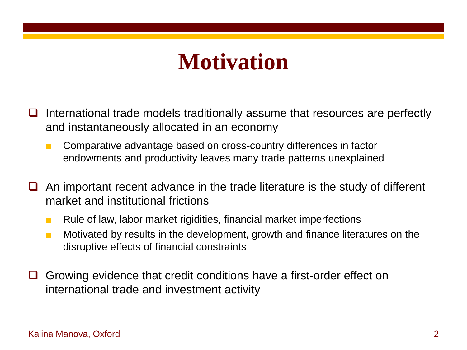### **Motivation**

- International trade models traditionally assume that resources are perfectly and instantaneously allocated in an economy
	- Comparative advantage based on cross-country differences in factor endowments and productivity leaves many trade patterns unexplained
- An important recent advance in the trade literature is the study of different market and institutional frictions
	- Rule of law, labor market rigidities, financial market imperfections
	- Motivated by results in the development, growth and finance literatures on the disruptive effects of financial constraints
- Growing evidence that credit conditions have a first-order effect on international trade and investment activity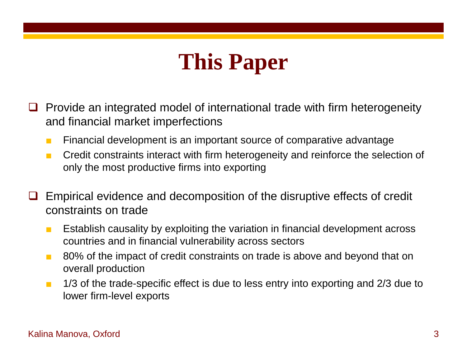## **This Paper**

- $\Box$  Provide an integrated model of international trade with firm heterogeneity and financial market imperfections
	- Financial development is an important source of comparative advantage
	- Credit constraints interact with firm heterogeneity and reinforce the selection of only the most productive firms into exporting
- Empirical evidence and decomposition of the disruptive effects of credit constraints on trade
	- Establish causality by exploiting the variation in financial development across countries and in financial vulnerability across sectors
	- 80% of the impact of credit constraints on trade is above and beyond that on overall production
	- 1/3 of the trade-specific effect is due to less entry into exporting and 2/3 due to lower firm-level exports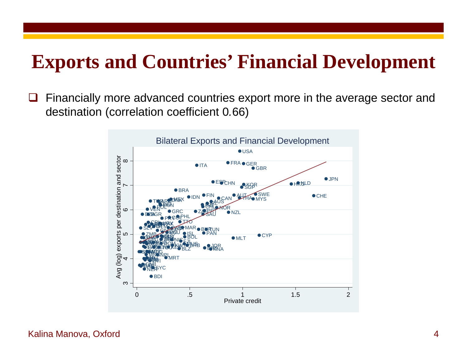### **Exports and Countries' Financial Development**

□ Financially more advanced countries export more in the average sector and destination (correlation coefficient 0*.*66)

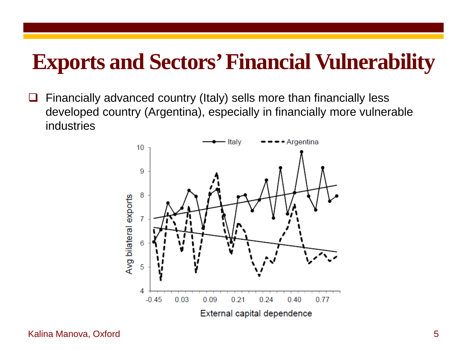### **Exports and Sectors' Financial Vulnerability**

 $\Box$  Financially advanced country (Italy) sells more than financially less developed country (Argentina), especially in financially more vulnerable industries

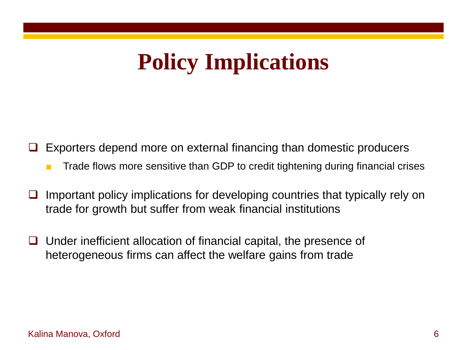# **Policy Implications**

Exporters depend more on external financing than domestic producers

- Trade flows more sensitive than GDP to credit tightening during financial crises
- $\Box$  Important policy implications for developing countries that typically rely on trade for growth but suffer from weak financial institutions
- Under inefficient allocation of financial capital, the presence of heterogeneous firms can affect the welfare gains from trade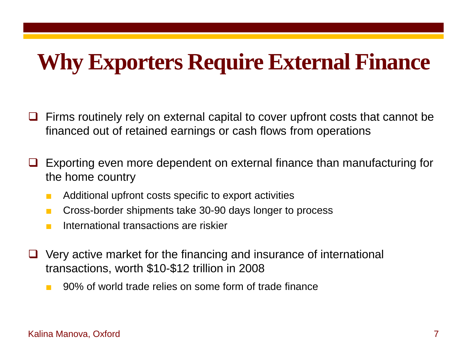## **Why Exporters Require External Finance**

- $\Box$  Firms routinely rely on external capital to cover upfront costs that cannot be financed out of retained earnings or cash flows from operations
- Exporting even more dependent on external finance than manufacturing for the home country
	- Additional upfront costs specific to export activities
	- Cross-border shipments take 30-90 days longer to process
	- International transactions are riskier
- $\Box$  Very active market for the financing and insurance of international transactions, worth \$10-\$12 trillion in 2008
	- 90% of world trade relies on some form of trade finance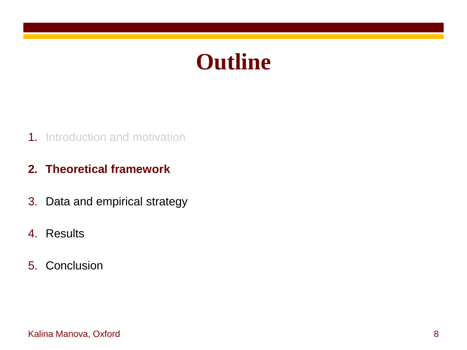### **Outline**

### 1. Introduction and motivation

### **2. Theoretical framework**

- 3. Data and empirical strategy
- 4. Results
- 5. Conclusion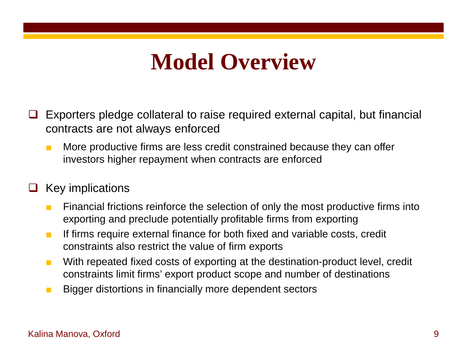## **Model Overview**

- $\Box$  Exporters pledge collateral to raise required external capital, but financial contracts are not always enforced
	- More productive firms are less credit constrained because they can offer investors higher repayment when contracts are enforced

### Key implications

- Financial frictions reinforce the selection of only the most productive firms into exporting and preclude potentially profitable firms from exporting
- If firms require external finance for both fixed and variable costs, credit constraints also restrict the value of firm exports
- With repeated fixed costs of exporting at the destination-product level, credit constraints limit firms' export product scope and number of destinations
- Bigger distortions in financially more dependent sectors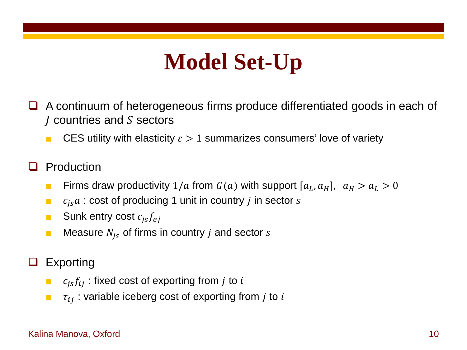# **Model Set-Up**

- A continuum of heterogeneous firms produce differentiated goods in each of  *countries and*  $*S*$  *sectors* 
	- CES utility with elasticity  $\epsilon > 1$  summarizes consumers' love of variety
- **Q** Production
	- **E** Firms draw productivity  $1/a$  from  $G(a)$  with support  $[a_L, a_H]$ ,  $a_H > a_L > 0$
	- $\blacksquare$   $c_{is}a$ : cost of producing 1 unit in country *j* in sector *s*
	- **Bunk entry cost**  $c_{is}f_{ej}$
	- **■** Measure  $N_{is}$  of firms in country *j* and sector *s*
- Exporting
	- $\bullet$   $c_{is}f_{ij}$ : fixed cost of exporting from *j* to *i*
	- $\mathbf{r}_{ij}$  : variable iceberg cost of exporting from j to i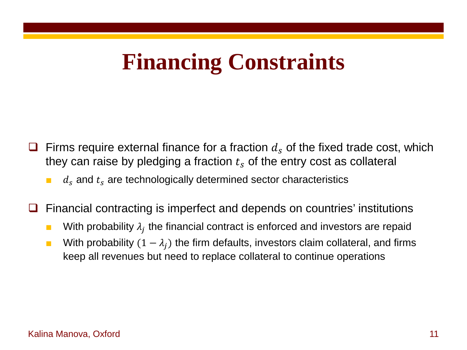## **Financing Constraints**

- Firms require external finance for a fraction  $d<sub>s</sub>$  of the fixed trade cost, which they can raise by pledging a fraction  $t_s$  of the entry cost as collateral
	- $d_s$  and  $t_s$  are technologically determined sector characteristics
- Financial contracting is imperfect and depends on countries' institutions
	- **■** With probability  $\lambda_i$  the financial contract is enforced and investors are repaid
	- With probability  $(1 \lambda_i)$  the firm defaults, investors claim collateral, and firms keep all revenues but need to replace collateral to continue operations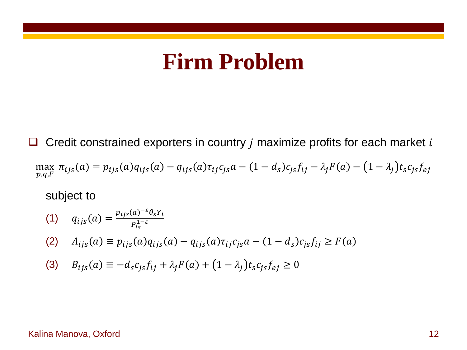### **Firm Problem**

 $\Box$  Credit constrained exporters in country *j* maximize profits for each market *i* max  $\pi_{ijs}(a) = p_{ijs}(a)q_{ijs}(a) - q_{ijs}(a)\tau_{ij}c_{js}a - (1 - d_s)c_{js}f_{ij} - \lambda_jF(a) - (1 - \lambda_j)t_s c_{js}f_e$ 

#### subject to

(1) 
$$
q_{ijs}(a) = \frac{p_{ijs}(a)^{-\varepsilon} \theta_s Y_i}{P_{is}^{1-\varepsilon}}
$$
  
\n(2)  $A_{ijs}(a) \equiv p_{ijs}(a) q_{ijs}(a) - q_{ijs}(a) \tau_{ij} c_{js} a - (1 - d_s) c_{js} f_{ij} \ge F(a)$   
\n(3)  $B_{ijs}(a) \equiv -d_s c_{js} f_{ij} + \lambda_j F(a) + (1 - \lambda_j) t_s c_{js} f_{ej} \ge 0$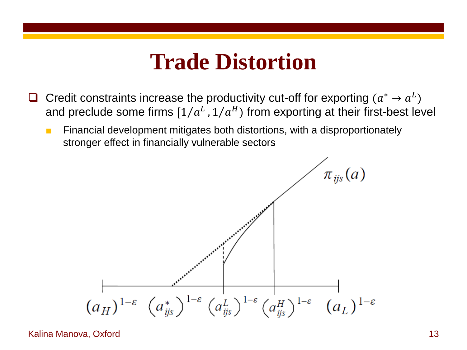### **Trade Distortion**

- Credit constraints increase the productivity cut-off for exporting  $(a^* \rightarrow a^L)$ and preclude some firms  $[1/a<sup>L</sup>, 1/a<sup>H</sup>]$  from exporting at their first-best level
	- Financial development mitigates both distortions, with a disproportionately stronger effect in financially vulnerable sectors

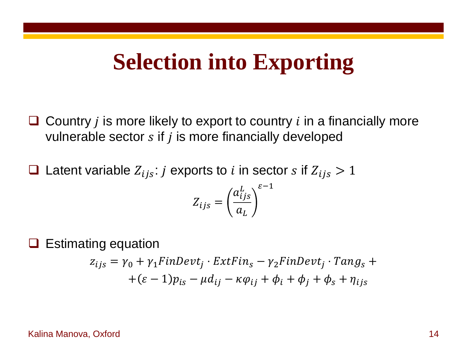### **Selection into Exporting**

- $\Box$  Country *i* is more likely to export to country *i* in a financially more vulnerable sector  $s$  if  $j$  is more financially developed
- **Q** Latent variable  $Z_{ijs}$ : *j* exports to *i* in sector *s* if  $Z_{ijs} > 1$

$$
Z_{ijs} = \left(\frac{a_{ijs}^L}{a_L}\right)^{\varepsilon - 1}
$$

Estimating equation

$$
z_{ijs} = \gamma_0 + \gamma_1 FinDevt_j \cdot ExtFin_s - \gamma_2 FinDevt_j \cdot Tang_s + (\varepsilon - 1)p_{is} - \mu d_{ij} - \kappa \varphi_{ij} + \phi_i + \phi_j + \phi_s + \eta_{ijs}
$$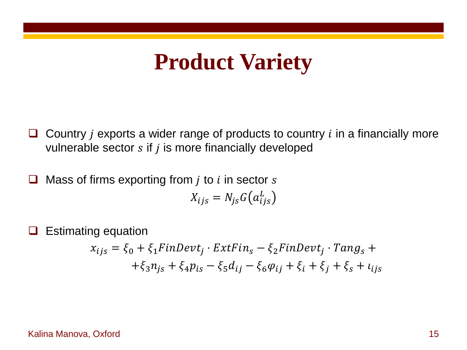## **Product Variety**

- $\Box$  Country *i* exports a wider range of products to country *i* in a financially more vulnerable sector  $s$  if  $j$  is more financially developed
- $\Box$  Mass of firms exporting from *j* to *i* in sector *s*  $X_{ijs} = N_{js}G(a_{i,j}^L)$ 
	- Estimating equation  $x_{ijs} = \xi_0 + \xi_1$ FinDevt<sub>i</sub> · ExtFin<sub>s</sub>  $-\xi_2$ FinDevt<sub>i</sub> · Tang<sub>s</sub> +  $+\xi_3 n_{is} + \xi_4 p_{is} - \xi_5 d_{ij} - \xi_6 \varphi_{ij} + \xi_i + \xi_j + \xi_s + \iota_{ijs}$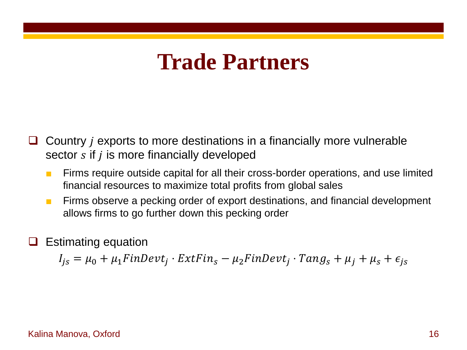### **Trade Partners**

- Country *i* exports to more destinations in a financially more vulnerable sector  $s$  if  $j$  is more financially developed
	- Firms require outside capital for all their cross-border operations, and use limited financial resources to maximize total profits from global sales
	- Firms observe a pecking order of export destinations, and financial development allows firms to go further down this pecking order
- Estimating equation

$$
I_{js} = \mu_0 + \mu_1 FinDevt_j \cdot ExtFin_s - \mu_2 FinDevt_j \cdot Tang_s + \mu_j + \mu_s + \epsilon_{js}
$$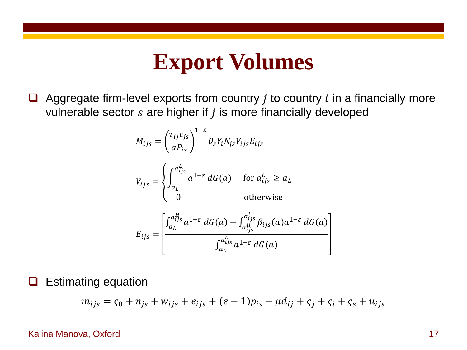### **Export Volumes**

 $\Box$  Aggregate firm-level exports from country *j* to country *i* in a financially more vulnerable sector  $s$  are higher if  $j$  is more financially developed

$$
M_{ijs} = \left(\frac{\tau_{ij}c_{js}}{aP_{is}}\right)^{1-\varepsilon} \theta_s Y_i N_{js} V_{ijs} E_{ijs}
$$
  
\n
$$
V_{ijs} = \begin{cases} \int_{a_L}^{a_{ijs}^L} a^{1-\varepsilon} dG(a) & \text{for } a_{ijs}^L \ge a_L\\ 0 & \text{otherwise} \end{cases}
$$
  
\n
$$
E_{ijs} = \begin{bmatrix} \int_{a_L}^{a_{ijs}^H} a^{1-\varepsilon} dG(a) + \int_{a_{ijs}^H}^{a_{ijs}^L} \beta_{ijs}(a) a^{1-\varepsilon} dG(a) \\ \int_{a_L}^{a_{ijs}^L} a^{1-\varepsilon} dG(a) \end{bmatrix}
$$

 $\Box$  Estimating equation

$$
m_{ijs} = \varsigma_0 + n_{js} + w_{ijs} + e_{ijs} + (\varepsilon - 1)p_{is} - \mu d_{ij} + \varsigma_j + \varsigma_i + \varsigma_s + u_{ijs}
$$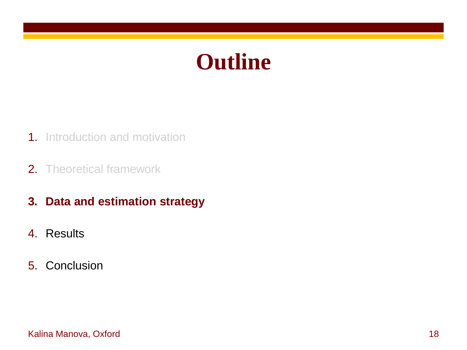### **Outline**

- 1. Introduction and motivation
- 2. Theoretical framework
- **3. Data and estimation strategy**
- 4. Results
- 5. Conclusion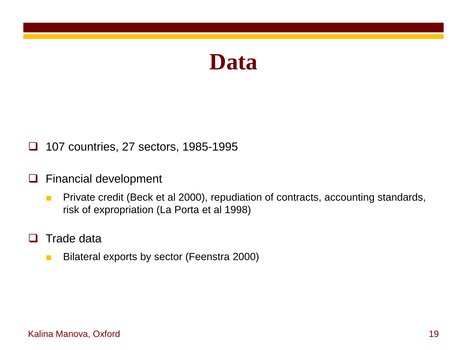

□ 107 countries, 27 sectors, 1985-1995

### **u** Financial development

- Private credit (Beck et al 2000), repudiation of contracts, accounting standards, risk of expropriation (La Porta et al 1998)
- $\Box$  Trade data
	- Bilateral exports by sector (Feenstra 2000)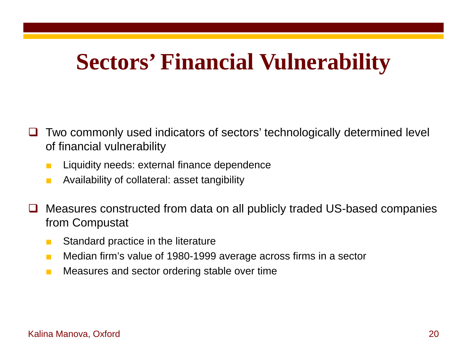## **Sectors' Financial Vulnerability**

- Two commonly used indicators of sectors' technologically determined level of financial vulnerability
	- Liquidity needs: external finance dependence
	- Availability of collateral: asset tangibility
- □ Measures constructed from data on all publicly traded US-based companies from Compustat
	- Standard practice in the literature
	- Median firm's value of 1980-1999 average across firms in a sector
	- Measures and sector ordering stable over time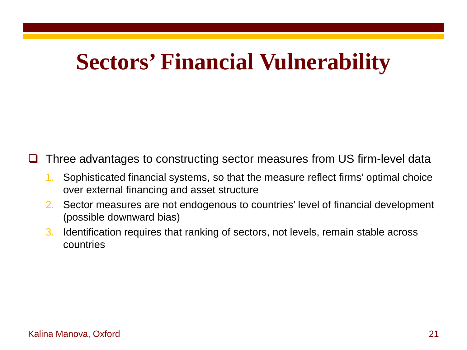## **Sectors' Financial Vulnerability**

Three advantages to constructing sector measures from US firm-level data

- 1. Sophisticated financial systems, so that the measure reflect firms' optimal choice over external financing and asset structure
- 2. Sector measures are not endogenous to countries' level of financial development (possible downward bias)
- 3. Identification requires that ranking of sectors, not levels, remain stable across countries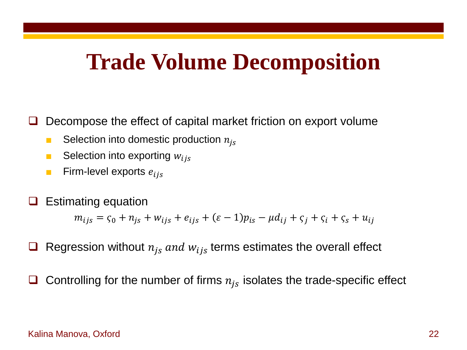### **Trade Volume Decomposition**

Decompose the effect of capital market friction on export volume

- Selection into domestic production  $n_{is}$
- **■** Selection into exporting  $w_{ijs}$
- **Firm-level exports**  $e_{ijs}$
- Estimating equation

 $m_{ijs} = \zeta_0 + n_{is} + w_{ijs} + e_{ijs} + (\varepsilon - 1)p_{is} - \mu d_{ij} + \zeta_i + \zeta_i + \zeta_s + u_{ij}$ 

- Regression without  $n_{is}$  and  $w_{ijs}$  terms estimates the overall effect
- Controlling for the number of firms  $n_{is}$  isolates the trade-specific effect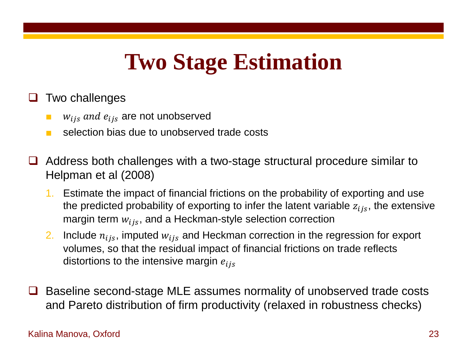# **Two Stage Estimation**

### Two challenges

- $w_{ijs}$  and  $e_{ijs}$  are not unobserved
- selection bias due to unobserved trade costs
- $\Box$  Address both challenges with a two-stage structural procedure similar to Helpman et al (2008)
	- 1. Estimate the impact of financial frictions on the probability of exporting and use the predicted probability of exporting to infer the latent variable  $z_{ijs}$ , the extensive margin term  $w_{ijs}$ , and a Heckman-style selection correction
	- 2. Include  $n_{ijs}$ , imputed  $w_{ijs}$  and Heckman correction in the regression for export volumes, so that the residual impact of financial frictions on trade reflects distortions to the intensive margin  $e_{ijs}$
- Baseline second-stage MLE assumes normality of unobserved trade costs and Pareto distribution of firm productivity (relaxed in robustness checks)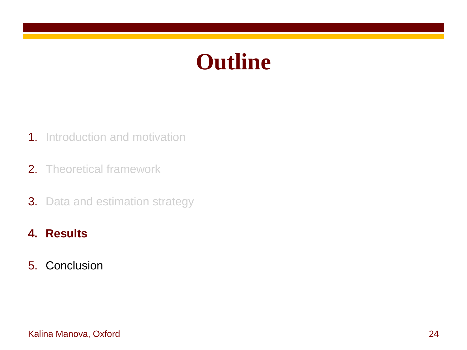### **Outline**

- 1. Introduction and motivation
- 2. Theoretical framework
- **3.** Data and estimation strategy
- **4. Results**
- 5. Conclusion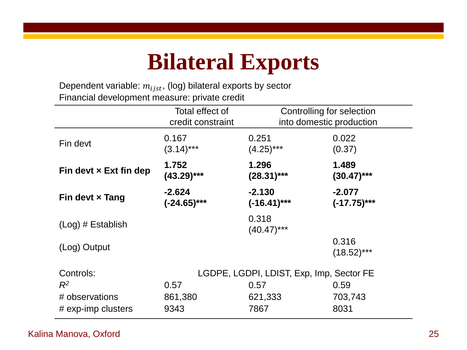### **Bilateral Exports**

Dependent variable:  $m_{ijst}$ , (log) bilateral exports by sector Financial development measure: private credit

|                               | Total effect of<br>credit constraint     | Controlling for selection<br>into domestic production |                           |  |
|-------------------------------|------------------------------------------|-------------------------------------------------------|---------------------------|--|
| Fin devt                      | 0.167<br>$(3.14)***$                     | 0.251<br>$(4.25)***$                                  | 0.022<br>(0.37)           |  |
| Fin devt $\times$ Ext fin dep | 1.752<br>$(43.29)***$                    | 1.296<br>$(28.31)***$                                 | 1.489<br>$(30.47)$ ***    |  |
| Fin devt $\times$ Tang        | $-2.624$<br>$(-24.65)***$                | $-2.130$<br>$(-16.41)***$                             | $-2.077$<br>$(-17.75)***$ |  |
| $(Log)$ # Establish           |                                          | 0.318<br>$(40.47)$ ***                                |                           |  |
| (Log) Output                  |                                          |                                                       | 0.316<br>$(18.52)***$     |  |
| Controls:                     | LGDPE, LGDPI, LDIST, Exp, Imp, Sector FE |                                                       |                           |  |
| $R^2$                         | 0.57                                     | 0.57                                                  | 0.59                      |  |
| # observations                | 861,380                                  | 621,333                                               | 703,743                   |  |
| # exp-imp clusters            | 9343                                     | 7867                                                  | 8031                      |  |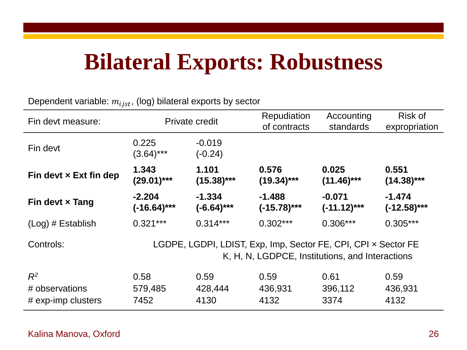### **Bilateral Exports: Robustness**

Dependent variable:  $m_{ijst}$ , (log) bilateral exports by sector

| Fin devt measure:                             | Private credit                                                                                                    |                          | Repudiation<br>of contracts | Accounting<br>standards   | Risk of<br>expropriation  |
|-----------------------------------------------|-------------------------------------------------------------------------------------------------------------------|--------------------------|-----------------------------|---------------------------|---------------------------|
| Fin devt                                      | 0.225<br>$(3.64)***$                                                                                              | $-0.019$<br>$(-0.24)$    |                             |                           |                           |
| Fin devt $\times$ Ext fin dep                 | 1.343<br>$(29.01)***$                                                                                             | 1.101<br>$(15.38)***$    | 0.576<br>$(19.34)***$       | 0.025<br>$(11.46)***$     | 0.551<br>$(14.38)***$     |
| Fin devt x Tang                               | $-2.204$<br>$(-16.64)***$                                                                                         | $-1.334$<br>$(-6.64)***$ | $-1.488$<br>$(-15.78)***$   | $-0.071$<br>$(-11.12)***$ | $-1.474$<br>$(-12.58)***$ |
| $(Log)$ # Establish                           | $0.321***$                                                                                                        | $0.314***$               | $0.302***$                  | $0.306***$                | $0.305***$                |
| Controls:                                     | LGDPE, LGDPI, LDIST, Exp, Imp, Sector FE, CPI, CPI x Sector FE<br>K, H, N, LGDPCE, Institutions, and Interactions |                          |                             |                           |                           |
| $R^2$<br># observations<br># exp-imp clusters | 0.58<br>579,485<br>7452                                                                                           | 0.59<br>428,444<br>4130  | 0.59<br>436,931<br>4132     | 0.61<br>396,112<br>3374   | 0.59<br>436,931<br>4132   |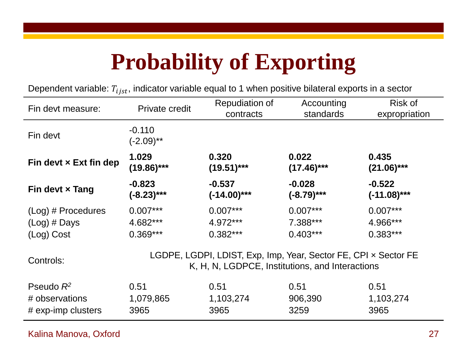# **Probability of Exporting**

Dependent variable:  $T_{i,jst}$ , indicator variable equal to 1 when positive bilateral exports in a sector

| Fin devt measure:             | Private credit                                                                                                     | Repudiation of<br>contracts | Accounting<br>standards | Risk of<br>expropriation |  |
|-------------------------------|--------------------------------------------------------------------------------------------------------------------|-----------------------------|-------------------------|--------------------------|--|
| Fin devt                      | $-0.110$<br>$(-2.09)$ **                                                                                           |                             |                         |                          |  |
| Fin devt $\times$ Ext fin dep | 1.029<br>$(19.86)***$                                                                                              | 0.320<br>$(19.51)***$       | 0.022<br>$(17.46)***$   | 0.435<br>$(21.06)***$    |  |
| Fin devt $\times$ Tang        | $-0.823$<br>$(-8.23)***$                                                                                           | $-0.537$<br>(-14.00)***     | $-0.028$<br>(-8.79)***  | $-0.522$<br>(-11.08)***  |  |
| $(Log)$ # Procedures          | $0.007***$                                                                                                         | $0.007***$                  | $0.007***$              | $0.007***$               |  |
| $(Log)$ # Days                | 4.682***                                                                                                           | 4.972***                    | 7.388***                | 4.966***                 |  |
| (Log) Cost                    | $0.369***$                                                                                                         | $0.382***$                  | $0.403***$              | $0.383***$               |  |
| Controls:                     | LGDPE, LGDPI, LDIST, Exp, Imp, Year, Sector FE, CPI x Sector FE<br>K, H, N, LGDPCE, Institutions, and Interactions |                             |                         |                          |  |
| Pseudo $R^2$                  | 0.51                                                                                                               | 0.51                        | 0.51                    | 0.51                     |  |
| # observations                | 1,079,865                                                                                                          | 1,103,274                   | 906,390                 | 1,103,274                |  |
| # exp-imp clusters            | 3965                                                                                                               | 3965                        | 3259                    | 3965                     |  |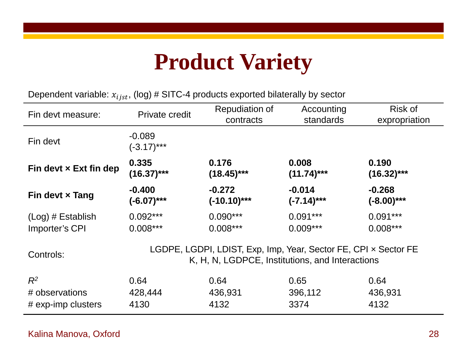# **Product Variety**

Dependent variable:  $x_{ijst}$ , (log) # SITC-4 products exported bilaterally by sector

| Fin devt measure:             | <b>Private credit</b>                                                                                              | Repudiation of<br>contracts | Accounting<br>standards | Risk of<br>expropriation |  |
|-------------------------------|--------------------------------------------------------------------------------------------------------------------|-----------------------------|-------------------------|--------------------------|--|
| Fin devt                      | $-0.089$<br>$(-3.17)***$                                                                                           |                             |                         |                          |  |
| Fin devt $\times$ Ext fin dep | 0.335                                                                                                              | 0.176                       | 0.008                   | 0.190                    |  |
|                               | $(16.37)$ ***                                                                                                      | $(18.45)***$                | $(11.74)***$            | $(16.32)***$             |  |
| Fin devt $\times$ Tang        | $-0.400$                                                                                                           | $-0.272$                    | $-0.014$                | $-0.268$                 |  |
|                               | $(-6.07)$ ***                                                                                                      | $(-10.10)***$               | $(-7.14)***$            | $(-8.00)$ ***            |  |
| $(Log)$ # Establish           | $0.092***$                                                                                                         | $0.090***$                  | $0.091***$              | $0.091***$               |  |
| Importer's CPI                | $0.008***$                                                                                                         | $0.008***$                  | $0.009***$              | $0.008***$               |  |
| Controls:                     | LGDPE, LGDPI, LDIST, Exp, Imp, Year, Sector FE, CPI x Sector FE<br>K, H, N, LGDPCE, Institutions, and Interactions |                             |                         |                          |  |
| $R^2$                         | 0.64                                                                                                               | 0.64                        | 0.65                    | 0.64                     |  |
| # observations                | 428,444                                                                                                            | 436,931                     | 396,112                 | 436,931                  |  |
| $#$ exp-imp clusters          | 4130                                                                                                               | 4132                        | 3374                    | 4132                     |  |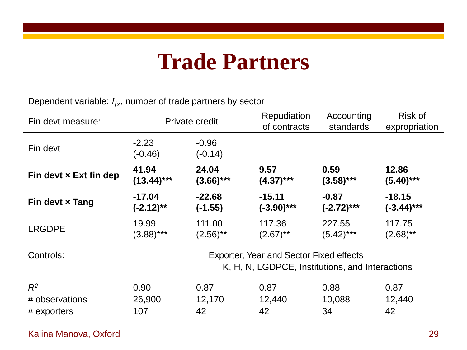### **Trade Partners**

Dependent variable:  $I_{js}$ , number of trade partners by sector

| Fin devt measure:             | Private credit                                                                                    |                      | Repudiation<br>of contracts | Accounting<br>standards | Risk of<br>expropriation |
|-------------------------------|---------------------------------------------------------------------------------------------------|----------------------|-----------------------------|-------------------------|--------------------------|
| Fin devt                      | $-2.23$<br>$(-0.46)$                                                                              | $-0.96$<br>$(-0.14)$ |                             |                         |                          |
| Fin devt $\times$ Ext fin dep | 41.94                                                                                             | 24.04                | 9.57                        | 0.59                    | 12.86                    |
|                               | $(13.44)***$                                                                                      | $(3.66)***$          | $(4.37)$ ***                | $(3.58)***$             | $(5.40)$ ***             |
| Fin devt $\times$ Tang        | $-17.04$                                                                                          | $-22.68$             | $-15.11$                    | $-0.87$                 | $-18.15$                 |
|                               | $(-2.12)$ **                                                                                      | (-1.55)              | $(-3.90)$ ***               | $(-2.72)***$            | (-3.44)***               |
| <b>LRGDPE</b>                 | 19.99                                                                                             | 111.00               | 117.36                      | 227.55                  | 117.75                   |
|                               | $(3.88)***$                                                                                       | $(2.56)$ **          | $(2.67)$ **                 | $(5.42)$ ***            | $(2.68)$ **              |
| Controls:                     | <b>Exporter, Year and Sector Fixed effects</b><br>K, H, N, LGDPCE, Institutions, and Interactions |                      |                             |                         |                          |
| $R^2$                         | 0.90                                                                                              | 0.87                 | 0.87                        | 0.88                    | 0.87                     |
| # observations                | 26,900                                                                                            | 12,170               | 12,440                      | 10,088                  | 12,440                   |
| # exporters                   | 107                                                                                               | 42                   | 42                          | 34                      | 42                       |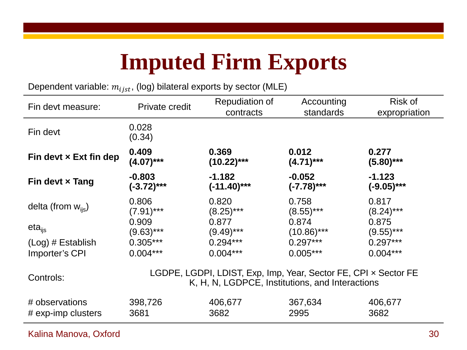## **Imputed Firm Exports**

Dependent variable:  $m_{ijst}$ , (log) bilateral exports by sector (MLE)

| Fin devt measure:              | Private credit                                                                                                     | Repudiation of<br>contracts | Accounting<br>standards | Risk of<br>expropriation |  |
|--------------------------------|--------------------------------------------------------------------------------------------------------------------|-----------------------------|-------------------------|--------------------------|--|
| Fin devt                       | 0.028<br>(0.34)                                                                                                    |                             |                         |                          |  |
| Fin devt $\times$ Ext fin dep  | 0.409                                                                                                              | 0.369                       | 0.012                   | 0.277                    |  |
|                                | $(4.07)$ ***                                                                                                       | $(10.22)***$                | $(4.71***$              | $(5.80)$ ***             |  |
| Fin devt $\times$ Tang         | $-0.803$                                                                                                           | $-1.182$                    | $-0.052$                | $-1.123$                 |  |
|                                | $(-3.72)***$                                                                                                       | $(-11.40)$ ***              | $(-7.78)***$            | $(-9.05)***$             |  |
| delta (from $w_{\text{lis}}$ ) | 0.806                                                                                                              | 0.820                       | 0.758                   | 0.817                    |  |
|                                | $(7.91)$ ***                                                                                                       | $(8.25)***$                 | $(8.55)***$             | $(8.24)***$              |  |
| $eta_{\text{lis}}$             | 0.909                                                                                                              | 0.877                       | 0.874                   | 0.875                    |  |
|                                | $(9.63)***$                                                                                                        | $(9.49)$ ***                | $(10.86)$ ***           | $(9.55)$ ***             |  |
| $(Log)$ # Establish            | $0.305***$                                                                                                         | $0.294***$                  | $0.297***$              | $0.297***$               |  |
| Importer's CPI                 | $0.004***$                                                                                                         | $0.004***$                  | $0.005***$              | $0.004***$               |  |
| Controls:                      | LGDPE, LGDPI, LDIST, Exp, Imp, Year, Sector FE, CPI x Sector FE<br>K, H, N, LGDPCE, Institutions, and Interactions |                             |                         |                          |  |
| # observations                 | 398,726                                                                                                            | 406,677                     | 367,634                 | 406,677                  |  |
| # exp-imp clusters             | 3681                                                                                                               | 3682                        | 2995                    | 3682                     |  |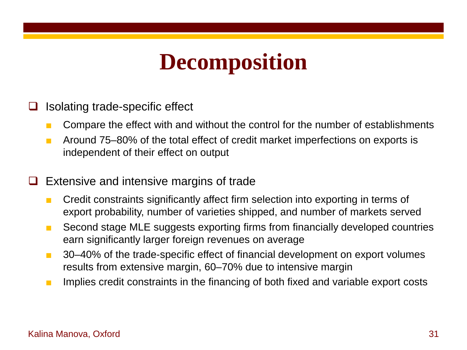### **Decomposition**

- $\Box$  Isolating trade-specific effect
	- Compare the effect with and without the control for the number of establishments
	- Around 75–80% of the total effect of credit market imperfections on exports is independent of their effect on output

### $\Box$  Extensive and intensive margins of trade

- Credit constraints significantly affect firm selection into exporting in terms of export probability, number of varieties shipped, and number of markets served
- Second stage MLE suggests exporting firms from financially developed countries earn significantly larger foreign revenues on average
- 30–40% of the trade-specific effect of financial development on export volumes results from extensive margin, 60–70% due to intensive margin
- Implies credit constraints in the financing of both fixed and variable export costs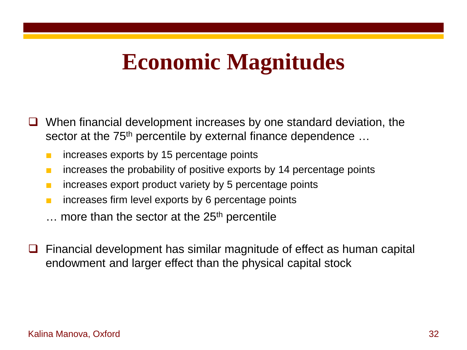### **Economic Magnitudes**

- When financial development increases by one standard deviation, the sector at the 75<sup>th</sup> percentile by external finance dependence ...
	- increases exports by 15 percentage points
	- increases the probability of positive exports by 14 percentage points
	- increases export product variety by 5 percentage points
	- increases firm level exports by 6 percentage points
	- $\ldots$  more than the sector at the 25<sup>th</sup> percentile
- $\Box$  Financial development has similar magnitude of effect as human capital endowment and larger effect than the physical capital stock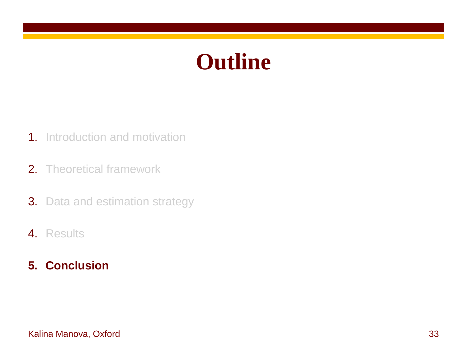### **Outline**

- 1. Introduction and motivation
- 2. Theoretical framework
- **3.** Data and estimation strategy
- 4. Results

### **5. Conclusion**